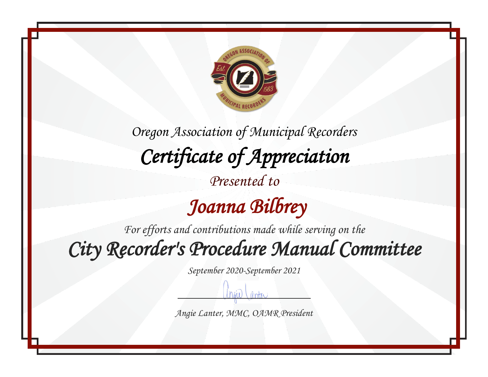

 *Joanna Bilbrey* 

*For efforts and contributions made while serving on the*

*City Recorder's Procedure Manual Committee* 

*September 2020-September 2021*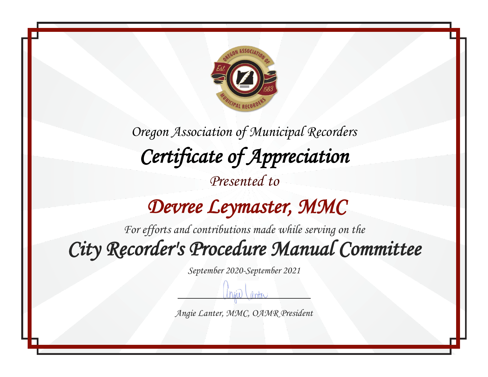

## *Devree Leymaster, MMC*

*For efforts and contributions made while serving on the*

*City Recorder's Procedure Manual Committee* 

*September 2020-September 2021*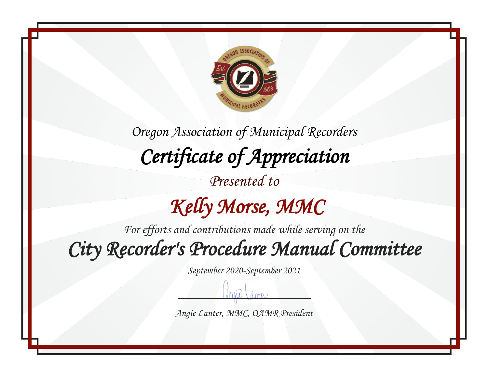

## *Kelly Morse, MMC*

*For efforts and contributions made while serving on the*

*City Recorder's Procedure Manual Committee* 

*September 2020-September 2021*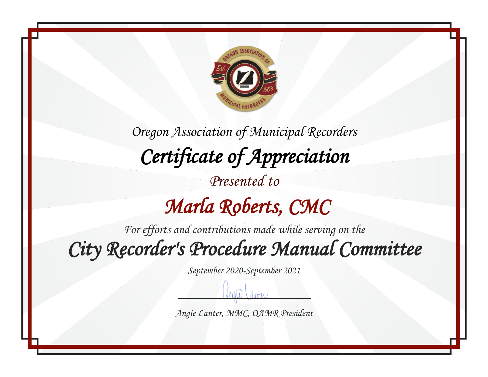

## *Marla Roberts, CMC*

*For efforts and contributions made while serving on the*

*City Recorder's Procedure Manual Committee* 

*September 2020-September 2021*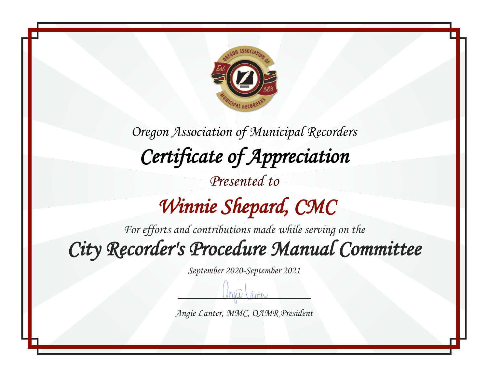

*Oregon Association of Municipal Recorders Certificate of Appreciation Presented to Winnie Shepard, CMC* 

*For efforts and contributions made while serving on the*

*City Recorder's Procedure Manual Committee* 

*September 2020-September 2021*